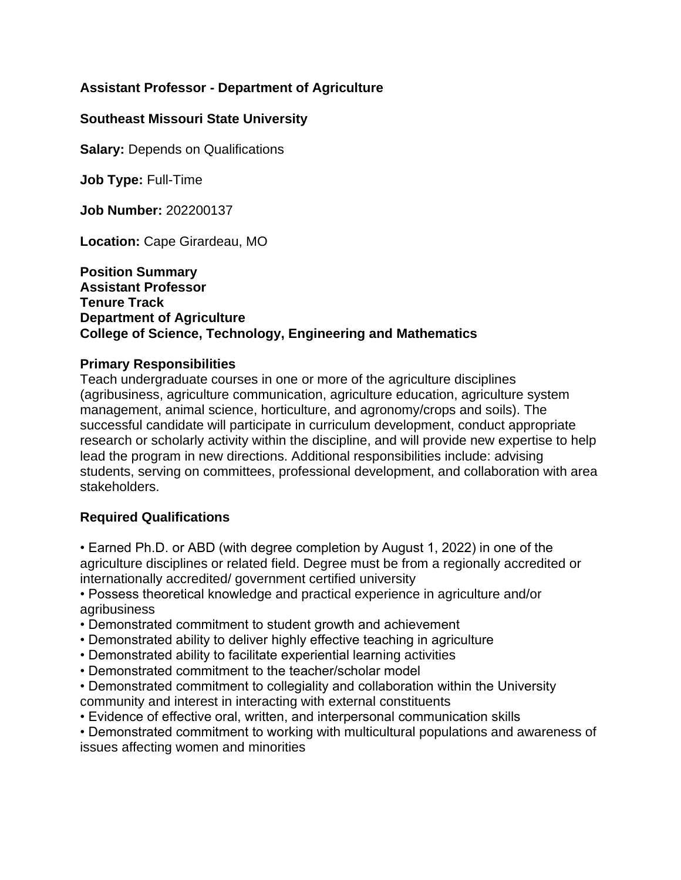# **Assistant Professor - Department of Agriculture**

### **Southeast Missouri State University**

**Salary:** Depends on Qualifications

**Job Type:** Full-Time

**Job Number:** 202200137

**Location:** Cape Girardeau, MO

#### **Position Summary Assistant Professor Tenure Track Department of Agriculture College of Science, Technology, Engineering and Mathematics**

#### **Primary Responsibilities**

Teach undergraduate courses in one or more of the agriculture disciplines (agribusiness, agriculture communication, agriculture education, agriculture system management, animal science, horticulture, and agronomy/crops and soils). The successful candidate will participate in curriculum development, conduct appropriate research or scholarly activity within the discipline, and will provide new expertise to help lead the program in new directions. Additional responsibilities include: advising students, serving on committees, professional development, and collaboration with area stakeholders.

### **Required Qualifications**

• Earned Ph.D. or ABD (with degree completion by August 1, 2022) in one of the agriculture disciplines or related field. Degree must be from a regionally accredited or internationally accredited/ government certified university

• Possess theoretical knowledge and practical experience in agriculture and/or agribusiness

- Demonstrated commitment to student growth and achievement
- Demonstrated ability to deliver highly effective teaching in agriculture
- Demonstrated ability to facilitate experiential learning activities
- Demonstrated commitment to the teacher/scholar model
- Demonstrated commitment to collegiality and collaboration within the University community and interest in interacting with external constituents
- Evidence of effective oral, written, and interpersonal communication skills

• Demonstrated commitment to working with multicultural populations and awareness of issues affecting women and minorities